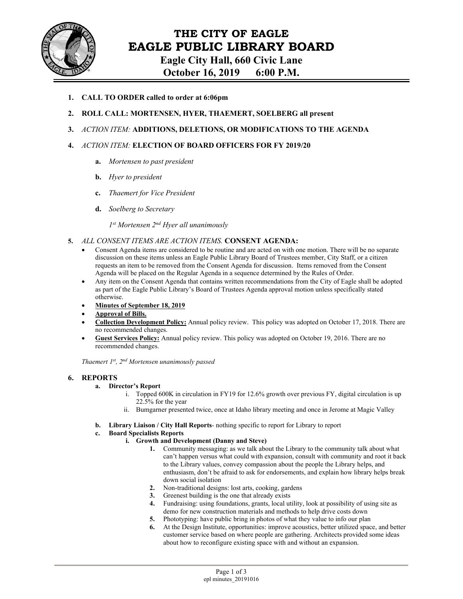

**Eagle City Hall, 660 Civic Lane** 

**October 16, 2019 6:00 P.M.** 

- **1. CALL TO ORDER called to order at 6:06pm**
- **2. ROLL CALL: MORTENSEN, HYER, THAEMERT, SOELBERG all present**
- **3.** *ACTION ITEM:* **ADDITIONS, DELETIONS, OR MODIFICATIONS TO THE AGENDA**
- **4.** *ACTION ITEM:* **ELECTION OF BOARD OFFICERS FOR FY 2019/20** 
	- **a.** *Mortensen to past president*
	- **b.** *Hyer to president*
	- **c.** *Thaemert for Vice President*
	- **d.** *Soelberg to Secretary*

*1st Mortensen 2nd Hyer all unanimously*

- **5.** *ALL CONSENT ITEMS ARE ACTION ITEMS.* **CONSENT AGENDA:**
	- Consent Agenda items are considered to be routine and are acted on with one motion. There will be no separate discussion on these items unless an Eagle Public Library Board of Trustees member, City Staff, or a citizen requests an item to be removed from the Consent Agenda for discussion. Items removed from the Consent Agenda will be placed on the Regular Agenda in a sequence determined by the Rules of Order.
	- Any item on the Consent Agenda that contains written recommendations from the City of Eagle shall be adopted as part of the Eagle Public Library's Board of Trustees Agenda approval motion unless specifically stated otherwise.
	- **Minutes of September 18, 2019**
	- **Approval of Bills.**
	- **Collection Development Policy:** Annual policy review. This policy was adopted on October 17, 2018. There are no recommended changes.
	- **Guest Services Policy:** Annual policy review. This policy was adopted on October 19, 2016. There are no recommended changes.

*Thaemert 1st, 2nd Mortensen unanimously passed* 

### **6. REPORTS**

- **a. Director's Report** 
	- i. Topped 600K in circulation in FY19 for 12.6% growth over previous FY, digital circulation is up 22.5% for the year
	- ii. Bumgarner presented twice, once at Idaho library meeting and once in Jerome at Magic Valley
- **b. Library Liaison / City Hall Reports** nothing specific to report for Library to report
- **c. Board Specialists Reports** 
	- **i. Growth and Development (Danny and Steve)** 
		- **1.** Community messaging: as we talk about the Library to the community talk about what can't happen versus what could with expansion, consult with community and root it back to the Library values, convey compassion about the people the Library helps, and enthusiasm, don't be afraid to ask for endorsements, and explain how library helps break down social isolation
		- **2.** Non-traditional designs: lost arts, cooking, gardens
		- **3.** Greenest building is the one that already exists
		- **4.** Fundraising: using foundations, grants, local utility, look at possibility of using site as demo for new construction materials and methods to help drive costs down
		- **5.** Phototyping: have public bring in photos of what they value to info our plan
		- **6.** At the Design Institute, opportunities: improve acoustics, better utilized space, and better customer service based on where people are gathering. Architects provided some ideas about how to reconfigure existing space with and without an expansion.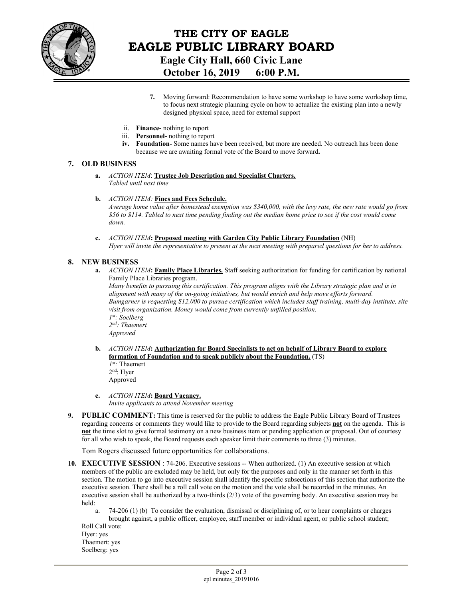

## **THE CITY OF EAGLE EAGLE PUBLIC LIBRARY BOARD Eagle City Hall, 660 Civic Lane October 16, 2019 6:00 P.M.**

- **7.** Moving forward: Recommendation to have some workshop to have some workshop time, to focus next strategic planning cycle on how to actualize the existing plan into a newly designed physical space, need for external support
- ii. **Finance-** nothing to report
- iii. **Personnel-** nothing to report
- **iv. Foundation-** Some names have been received, but more are needed. No outreach has been done because we are awaiting formal vote of the Board to move forward**.**

#### **7. OLD BUSINESS**

- **a.** *ACTION ITEM*: **Trustee Job Description and Specialist Charters.**  *Tabled until next time*
- **b.** *ACTION ITEM:* **Fines and Fees Schedule.**

*Average home value after homestead exemption was \$340,000, with the levy rate, the new rate would go from \$56 to \$114. Tabled to next time pending finding out the median home price to see if the cost would come down.* 

**c.** *ACTION ITEM***: Proposed meeting with Garden City Public Library Foundation** (NH) *Hyer will invite the representative to present at the next meeting with prepared questions for her to address.* 

#### **8. NEW BUSINESS**

**a.** *ACTION ITEM***: Family Place Libraries.** Staff seeking authorization for funding for certification by national Family Place Libraries program.

*Many benefits to pursuing this certification. This program aligns with the Library strategic plan and is in alignment with many of the on-going initiatives, but would enrich and help move efforts forward. Bumgarner is requesting \$12,000 to pursue certification which includes staff training, multi-day institute, site visit from organization. Money would come from currently unfilled position. 1st: Soelberg 2nd: Thaemert Approved* 

**b.** *ACTION ITEM***: Authorization for Board Specialists to act on behalf of Library Board to explore formation of Foundation and to speak publicly about the Foundation.** (TS) *1st:* Thaemert 2nd: Hyer

Approved

- **c.** *ACTION ITEM***: Board Vacancy.**  *Invite applicants to attend November meeting*
- **9. PUBLIC COMMENT:** This time is reserved for the public to address the Eagle Public Library Board of Trustees regarding concerns or comments they would like to provide to the Board regarding subjects **not** on the agenda. This is **not** the time slot to give formal testimony on a new business item or pending application or proposal. Out of courtesy for all who wish to speak, the Board requests each speaker limit their comments to three (3) minutes.

Tom Rogers discussed future opportunities for collaborations.

- **10. EXECUTIVE SESSION** : 74-206. Executive sessions -- When authorized. (1) An executive session at which members of the public are excluded may be held, but only for the purposes and only in the manner set forth in this section. The motion to go into executive session shall identify the specific subsections of this section that authorize the executive session. There shall be a roll call vote on the motion and the vote shall be recorded in the minutes. An executive session shall be authorized by a two-thirds (2/3) vote of the governing body. An executive session may be held:
	- a. 74-206 (1) (b) To consider the evaluation, dismissal or disciplining of, or to hear complaints or charges brought against, a public officer, employee, staff member or individual agent, or public school student;

Roll Call vote: Hyer: yes Thaemert: yes Soelberg: yes